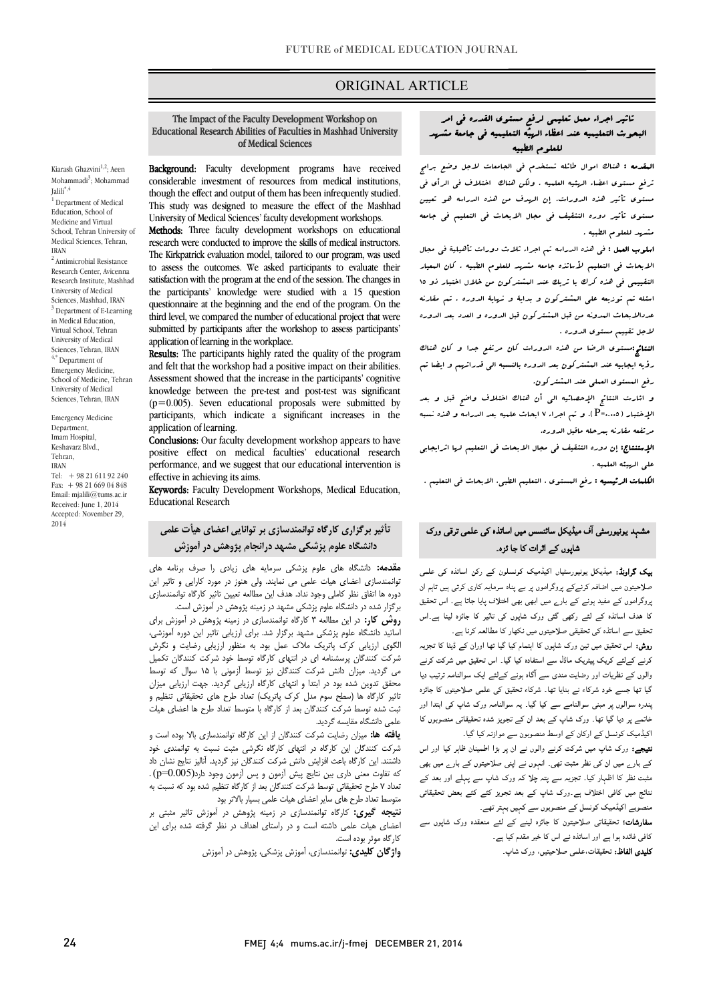# ORIGINAL ARTICLE

 Educational Research Abilities of Faculties in Mashhad University The Impact of the Faculty Development Workshop on of Medical Sciences

Ī

Kiarash Ghazvini<sup>1,2</sup>; Aeen Mohammadi<sup>3</sup>; Mohammad Jalili\*,4

<sup>1</sup> Department of Medical Education, School of Medicine and Virtual School, Tehran University of Medical Sciences, Tehran, IRAN

<sup>2</sup> Antimicrobial Resistance Research Center, Avicenna Research Institute, Mashhad University of Medical Sciences, Mashhad, IRAN <sup>3</sup> Department of E-Learning in Medical Education, Virtual School, Tehran University of Medical Sciences, Tehran, IRAN 4,\* Department of Emergency Medicine, School of Medicine, Tehran University of Medical Sciences, Tehran. IRAN

Emergency Medicine Department Imam Hospital, Keshavarz Blvd., Tehran, IRAN Tel:  $+ 98 21 611 92 240$ Fax: + 98 21 669 04 848 Email: mjalili@tums.ac.ir Received: June 1, 2014 Accepted: November 29, 2014

Background: Faculty development programs have received considerable investment of resources from medical institutions, though the effect and output of them has been infrequently studied. University of Medical Sciences' faculty development workshops. This study was designed to measure the effect of the Mashhad

Methods: Three faculty development workshops on educational research were conducted to improve the skills of medical instructors. to assess the outcomes. We asked participants to evaluate their satisfaction with the program at the end of the session. The changes in questionnaire at the beginning and the end of the program. On the third level, we compared the number of educational project that were submitted by participants after the workshop to assess participants' The Kirkpatrick evaluation model, tailored to our program, was used the participants' knowledge were studied with a 15 question application of learning in the workplace.

Results: The participants highly rated the quality of the program and felt that the workshop had a positive impact on their abilities. Assessment showed that the increase in the participants' cognitive  $(p=0.005)$ . Seven educational proposals were submitted by participants, which indicate a significant increases in the knowledge between the pre-test and post-test was significant application of learning.

 Conclusions: Our faculty development workshop appears to have positive effect on medical faculties' educational research performance, and we suggest that our educational intervention is effective in achieving its aims.

Keywords: Faculty Development Workshops, Medical Education, Educational Research

# تأثیر برگزاري کارگاه توانمندسازي بر توانایی اعضاي هیأت علمی دانشگاه علوم پزشکی مشهد درانجام پژوهش در آموزش

 مقدمه: دانشگاه هاي علوم پزشکی سرمایه هاي زیادي را صرف برنامه هاي دوره ها اتفاق نظر کاملی وجود نداد. هدف این مطالعه تعیین تاثیر کارگاه توانمندسازي برگزار شده در دانشگاه علوم پزشکی مشهد در زمینه پژوهش در آموزش است. توانمندسازي اعضاي هیات علمی می نمایند. ولی هنوز در مورد کارایی و تاثیر این

 روش کار: در این مطالعه 3 کارگاه توانمندسازي در زمینه پژوهش در آموزش براي اساتید دانشگاه علوم پزشکی مشهد برگزار شد. براي ارزیابی تاثیر این دوره آموزشی، شرکت کنندگان پرسشنامه اي در انتهاي کارگاه توسط خود شرکت کنندگان تکمیل می گردید. میزان دانش شرکت کنندگان نیز توسط آزمونی با 15 سوال که توسط تاثیر کارگاه ها (سطح سوم مدل کرك پاتریک) تعداد طرح هاي تحقیقاتی تنظیم و ثبت شده توسط شرکت کنندگان بعد از کارگاه با متوسط تعداد طرح ها اعضاي هیات علمی دانشگاه مقایسه گردید.<br>منتسمهای میدانید الگوي ارزیابی کرك پاتریک ملاك عمل بود. به منظور ارزیابی رضایت و نگرش محقق تدوین شده بود در ابتدا و انتهاي کارگاه ارزیابی گردید. جهت ارزیابی میزان

 شرکت کنندگان این کارگاه در انتهاي کارگاه نگرشی مثبت نسبت به توانمندي خود داشتند. این کارگاه باعث افزایش دانش شرکت کنندگان نیز گردید. آنالیز نتایج نشان داد که تفاوت معنی داري بین نتایج پیش آزمون و پس آزمون وجود دارد(0.005=p (. متوسط تعداد طرح هاي سایر اعضاي هیات علمی بسیار بالاتر بود یافته ها: میزان رضایت شرکت کنندگان از این کارگاه توانمندسازي بالا بوده است و تعداد 7 طرح تحقیقاتی توسط شرکت کنندگان بعد از کارگاه تنظیم شده بود که نسبت به

 نتیجه گیري: کارگاه توانمندسازي در زمینه پژوهش در آموزش تاثیر مثبتی بر اعضاي هیات علمی داشته است و در راستاي اهداف در نظر گرفته شده براي این کارگاه موثر بوده است.

واژگان کلیدي: توانمندسازي، آموزش پزشکی، پژوهش در آموزش

## تاثیر اجراء معمل تعلیمی لرفع مستوي القدره فی امر البحوث التعلیمیه عند اعظاء الهیه التعلیمیه فی جامعۀ مشهد للعلوم الطبیه

Ī

 المقدمه : هناك اموال طائله تستخدم فی الجامعات لاجل وضع برامج ترفع مستوي اعضاء الهئیه العلمیه . ولکن هناك اختلاف فی الرأي فی مستوي تأثیر هذه الدورات. إن الهدف من هذه الدراسه هو تعیین مستوي تأثیر دوره التثقیف فی مجال الابحاث فی التعلیم فی جامعه مشهد للعلوم الطبیه .

 اسلوب العمل : فی هذه الدراسه تم اجراء ثلاث دورات تأهیلیۀ فی مجال الابحاث فی التعلیم لأساتذه جامعه مشهد للعلوم الطبیه . کان المعیار التقییمی فی هذه کرك با تریک عند المشترکون من خلال اختبار ذو 15 اسئله تم توزیعه علی المشترکون و بدایۀ و نهایۀ الدوره . تم مقارنه عددالابحاث المدونه من قبل المشترکون قبل الدوره و العدد بعد الدوره لاجل تقییم مستوي الدوره .

 النتائج:مستوي الرضا من هذه الدورات کان مرتفع جدا و کان هناك رؤیه ایجابیه عند المشترکون بعد الدوره بالنسبه الی قدراتهم و ایضا تم رفع المستوي العملی عند المشترکون.

 و اشارت النتائج الإحصائیه الی أن هناك اختلاف واضح قبل و بعد الإختبار ( P=…..ه). و تم اجراء ۷ ابحاث علمیه بعد الدراسه و هذه نسبه مرتفعه مقارنه بمرحله ماقبل الدوره.

ا**لإستنتاج:** إن دوره التثقیف فی مجال الابحاث فی التعلیم ل*ه*ا اثرایجابی علی الهیئه العلمیه .

ا**لکلمات الرئیسیه :** رفع المستوى ، التعلیم الطبی، الابحاث فی التعلیم .<br>.

#### J مشہد یونیورسٹی آف میڈیکل سائنسس میں اساتذہ کی علمی ترقی ورک<br>۔ شاپوں کے اثرات کا جا ئزہ۔

**ییک گراونڈ:** میڈیکل یونیورسٹیاں اکیڈمیک کونسلون کے رکن اساتذہ کی علمی صلاحیتون میں اضافہ کرنےکے پروگراموں پر بے پناہ سرمایہ کاری کرتی ہیں تاہم ان <sub>ب</sub>روگراموں کے مفید ہونے کے بار<sub>ے</sub> میں ابھی بھی اختلاف پایا جاتا ہے۔ اس تحقیق<br>۔ ے کے لیے ہی ہے ہی ہے ہی ہے۔<br>نحقیق سے اساتذہ کی تحقیقی صلاحیتوں میں نکھار کا مطالعہ کرنا ہے۔ کا ہدف اساتذہ کے لئے رکھی گئی ورک شاپوں کی تاثیر کا جائزہ لینا ہے۔اس

ر**وش:** اس تحقیق میں تین ورک شاپوں کا اہتمام کیا گیا تھا اوران کے ڈیٹا کا تجزیہ کرنے کےلئے کریک پیٹریک ماڈل سے استفادہ کیا گیا۔ اس تحقیق میں شرکت کرنے والوں کے نظریات اور رضایت مندی سے آگاہ ہونے کےلئے ایک سوالنامہ ترتیب دیا گیا تھا جسے خود شرکاء نے بنایا تھا۔ شرکاء تحقیق کی علمی صلاحیتوں کا جائزہ بندرہ سوالوں پر مبنی سوالنامے سے کیا گیا۔ یہ سوالنامہ ورک شاپ کی ابتدا اور<br>مسلمان ے پر یہ میں ہے۔<br>اکیڈمیک کونسل کے ارکان کے اوسط منصوبون سے موازنہ کیا گیا۔ خاتمے پر دیا گیا تھا۔ ورک شاپ کے بعد ان کے تجویز شدہ تحقیقاتی منصوبوں کا

**نتیجے:** ورک شاپ میں شرکت کرنے والوں نے ان پر بڑا اطمینان ظاہر کیا اور اس کے بارے میں ان کی نظر مثبت تھی۔ انہوں نے اپنی صلاحیتوں کے بارے میں بھی مثبت نظر کا اظہار کیا۔ تجزیہ سے پتہ چلا کہ ورک شاپ سے پہلے اور بعد کے نتائج میں کافی اختلاف ہے۔ورک شاپ کے بعد تجویز کئے کئے بعض تحقیقاتی ا ں ۔

۔<br>کافی فائدہ ہوا ہے اور اساتذہ نے اس کا خیر مقدم کیا ہے۔ **تلبیدی الفاظ:** تحقیقات،علمی صلاحیتیں، ورک شاپ۔ **سفارشات؛** تحقیقاتی صلاحیتون کا جائزہ لینے کے لئے منعقدہ ورک شاپوں سے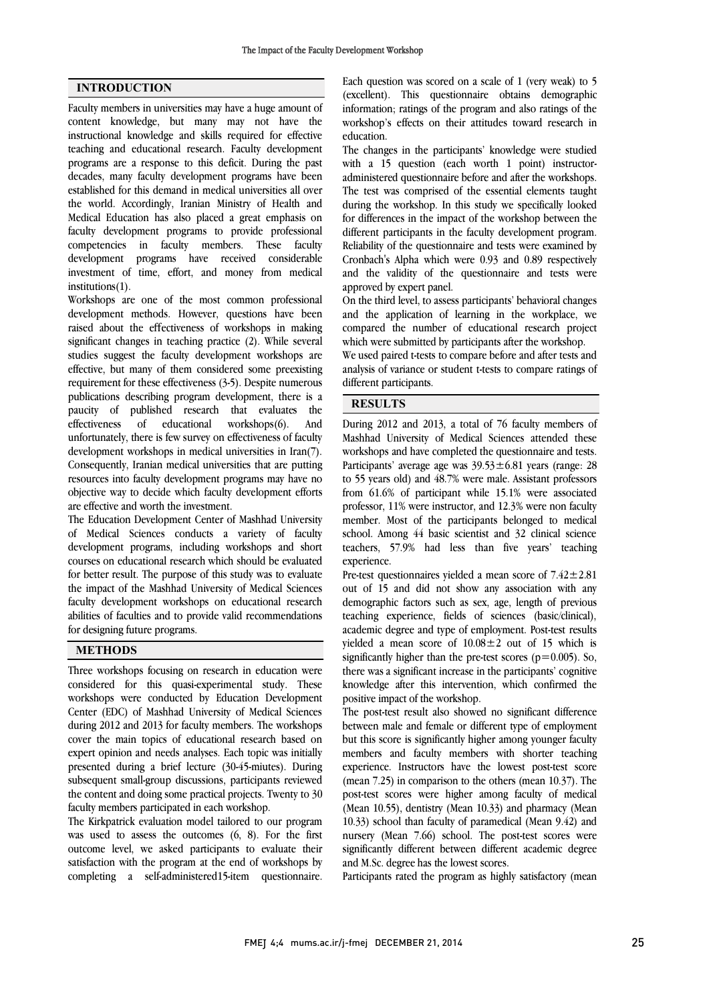#### INTRODUCTION

Faculty members in universities may have a huge amount of content knowledge, but many may not have the instructional knowledge and skills required for effective teaching and educational research. Faculty development programs are a response to this deficit. During the past decades, many faculty development programs have been established for this demand in medical universities all over the world. Accordingly, Iranian Ministry of Health and Medical Education has also placed a great emphasis on faculty development programs to provide professional competencies in faculty members. These faculty development programs have received considerable investment of time, effort, and money from medical institutions(1).

Workshops are one of the most common professional development methods. However, questions have been raised about the effectiveness of workshops in making significant changes in teaching practice (2). While several studies suggest the faculty development workshops are effective, but many of them considered some preexisting requirement for these effectiveness (3-5). Despite numerous publications describing program development, there is a paucity of published research that evaluates the effectiveness of educational workshops(6). And unfortunately, there is few survey on effectiveness of faculty development workshops in medical universities in Iran(7). Consequently, Iranian medical universities that are putting resources into faculty development programs may have no objective way to decide which faculty development efforts are effective and worth the investment.

The Education Development Center of Mashhad University of Medical Sciences conducts a variety of faculty development programs, including workshops and short courses on educational research which should be evaluated for better result. The purpose of this study was to evaluate the impact of the Mashhad University of Medical Sciences faculty development workshops on educational research abilities of faculties and to provide valid recommendations for designing future programs.

### **METHODS**

Three workshops focusing on research in education were considered for this quasi-experimental study. These workshops were conducted by Education Development Center (EDC) of Mashhad University of Medical Sciences during 2012 and 2013 for faculty members. The workshops cover the main topics of educational research based on expert opinion and needs analyses. Each topic was initially presented during a brief lecture (30-45-miutes). During subsequent small-group discussions, participants reviewed the content and doing some practical projects. Twenty to 30 faculty members participated in each workshop.

The Kirkpatrick evaluation model tailored to our program was used to assess the outcomes (6, 8). For the first outcome level, we asked participants to evaluate their satisfaction with the program at the end of workshops by completing a self-administered15-item questionnaire.  Each question was scored on a scale of 1 (very weak) to 5 (excellent). This questionnaire obtains demographic information; ratings of the program and also ratings of the workshop's effects on their attitudes toward research in education.

 The changes in the participants' knowledge were studied with a 15 question (each worth 1 point) instructor- administered questionnaire before and after the workshops. The test was comprised of the essential elements taught for differences in the impact of the workshop between the different participants in the faculty development program. Reliability of the questionnaire and tests were examined by Cronbach's Alpha which were 0.93 and 0.89 respectively approved by expert panel. during the workshop. In this study we specifically looked and the validity of the questionnaire and tests were

 On the third level, to assess participants' behavioral changes and the application of learning in the workplace, we compared the number of educational research project which were submitted by participants after the workshop.

We used paired t-tests to compare before and after tests and analysis of variance or student t-tests to compare ratings of different participants.

# RESULTS

 During 2012 and 2013, a total of 76 faculty members of Mashhad University of Medical Sciences attended these workshops and have completed the questionnaire and tests. Participants' average age was  $39.53 \pm 6.81$  years (range: 28 from 61.6% of participant while 15.1% were associated professor, 11% were instructor, and 12.3% were non faculty member. Most of the participants belonged to medical school. Among 44 basic scientist and 32 clinical science experience. to 55 years old) and 48.7% were male. Assistant professors teachers, 57.9% had less than five years' teaching

Pre-test questionnaires yielded a mean score of  $7.42 \pm 2.81$  out of 15 and did not show any association with any demographic factors such as sex, age, length of previous academic degree and type of employment. Post-test results yielded a mean score of  $10.08 \pm 2$  out of 15 which is significantly higher than the pre-test scores ( $p=0.005$ ). So, there was a significant increase in the participants' cognitive positive impact of the workshop. teaching experience, fields of sciences (basic/clinical), knowledge after this intervention, which confirmed the

 The post-test result also showed no significant difference between male and female or different type of employment but this score is significantly higher among younger faculty experience. Instructors have the lowest post-test score (mean 7.25) in comparison to the others (mean 10.37). The post-test scores were higher among faculty of medical (Mean 10.55), dentistry (Mean 10.33) and pharmacy (Mean nursery (Mean 7.66) school. The post-test scores were significantly different between different academic degree and M.Sc. degree has the lowest scores. members and faculty members with shorter teaching 10.33) school than faculty of paramedical (Mean 9.42) and

Participants rated the program as highly satisfactory (mean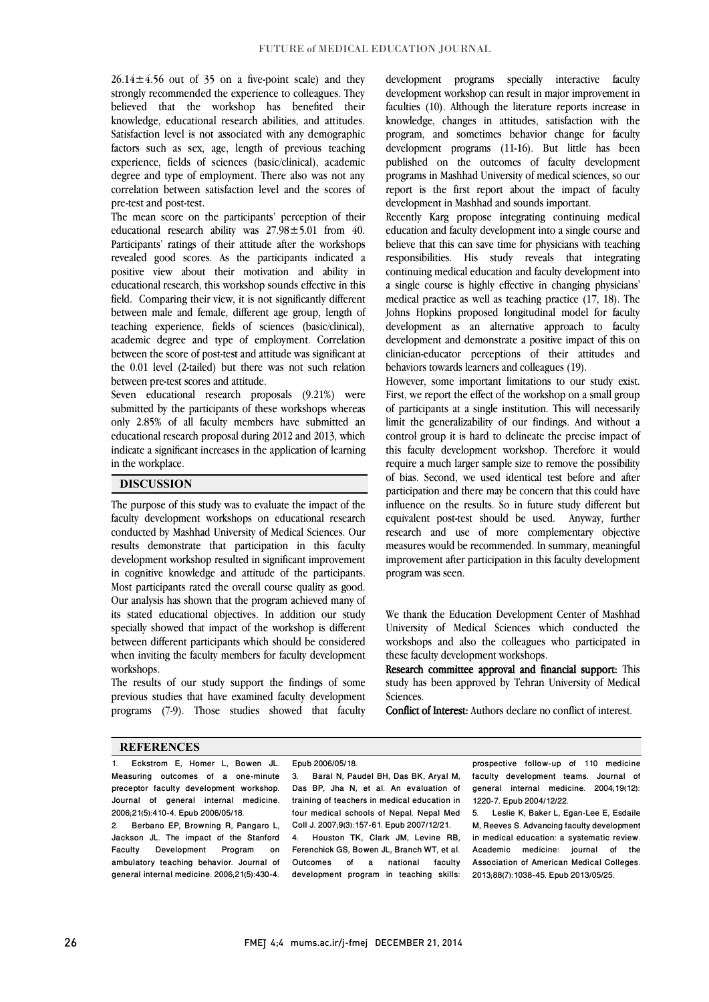$26.14 \pm 4.56$  out of 35 on a five-point scale) and they strongly recommended the experience to colleagues. They believed that the workshop has benefited their Satisfaction level is not associated with any demographic factors such as sex, age, length of previous teaching experience, fields of sciences (basic/clinical), academic degree and type of employment. There also was not any correlation between satisfaction level and the scores of knowledge, educational research abilities, and attitudes. pre-test and post-test.

The mean score on the participants' perception of their educational research ability was  $27.98 \pm 5.01$  from 40. Participants' ratings of their attitude after the workshops positive view about their motivation and ability in educational research, this workshop sounds effective in this field. Comparing their view, it is not significantly different between male and female, different age group, length of teaching experience, fields of sciences (basic/clinical), between the score of post-test and attitude was significant at the 0.01 level (2-tailed) but there was not such relation revealed good scores. As the participants indicated a academic degree and type of employment. Correlation between pre-test scores and attitude.

submitted by the participants of these workshops whereas only 2.85% of all faculty members have submitted an educational research proposal during 2012 and 2013, which indicate a significant increases in the application of learning  $\overline{a}$ Seven educational research proposals (9.21%) were in the workplace.

#### DISCUSSION

 The purpose of this study was to evaluate the impact of the faculty development workshops on educational research results demonstrate that participation in this faculty development workshop resulted in significant improvement in cognitive knowledge and attitude of the participants. Most participants rated the overall course quality as good. its stated educational objectives. In addition our study specially showed that impact of the workshop is different between different participants which should be considered when inviting the faculty members for faculty development conducted by Mashhad University of Medical Sciences. Our Our analysis has shown that the program achieved many of workshops.

 The results of our study support the findings of some previous studies that have examined faculty development programs (7-9). Those studies showed that faculty

 development programs specially interactive faculty development workshop can result in major improvement in faculties (10). Although the literature reports increase in knowledge, changes in attitudes, satisfaction with the development programs (11-16). But little has been published on the outcomes of faculty development programs in Mashhad University of medical sciences, so our report is the first report about the impact of faculty program, and sometimes behavior change for faculty development in Mashhad and sounds important.

 Recently Karg propose integrating continuing medical education and faculty development into a single course and believe that this can save time for physicians with teaching continuing medical education and faculty development into a single course is highly effective in changing physicians' medical practice as well as teaching practice (17, 18). The Johns Hopkins proposed longitudinal model for faculty development and demonstrate a positive impact of this on clinician-educator perceptions of their attitudes and responsibilities. His study reveals that integrating development as an alternative approach to faculty behaviors towards learners and colleagues (19).

 However, some important limitations to our study exist. of participants at a single institution. This will necessarily limit the generalizability of our findings. And without a control group it is hard to delineate the precise impact of this faculty development workshop. Therefore it would of bias. Second, we used identical test before and after participation and there may be concern that this could have influence on the results. So in future study different but equivalent post-test should be used. Anyway, further measures would be recommended. In summary, meaningful improvement after participation in this faculty development First, we report the effect of the workshop on a small group require a much larger sample size to remove the possibility research and use of more complementary objective program was seen.

 We thank the Education Development Center of Mashhad University of Medical Sciences which conducted the workshops and also the colleagues who participated in these faculty development workshops.

study has been approved by Tehran University of Medical Research committee approval and financial support: This Sciences.

Conflict of Interest: Authors declare no conflict of interest.

#### **REFERENCES**

1. Eckstrom E, Homer L, Bowen JL. Measuring outcomes of a one-minute preceptor faculty development workshop. Journal of general internal medicine. 2006;21(5):410-4. Epub 2006/05/18.

Berbano EP, Browning R, Pangaro L, Jackson JL. The impact of the Stanford Faculty Development Program on ambulatory teaching behavior. Journal of general internal medicine. 2006;21(5):430-4. Epub 2006/05/18.

l

 3. Baral N, Paudel BH, Das BK, Aryal M, training of teachers in medical education in four medical schools of Nepal. Nepal Med Das BP, Jha N, et al. An evaluation of Coll J. 2007;9(3):157-61. Epub 2007/12/21.

 4. Houston TK, Clark JM, Levine RB, Ferenchick GS, Bowen JL, Branch WT, et al. Outcomes of a national faculty development program in teaching skills:  prospective follow-up of 110 medicine faculty development teams. Journal of general internal medicine. 2004;19(12):<br>1220-7 Enub-2004/12/22 1220-7. Epub 2004/12/22.

 5. Leslie K, Baker L, Egan-Lee E, Esdaile m, neeves 5. Advancing faculty development<br>in medical education: a systematic review. Academic medicine: journal of the Association of American Medical Colleges. 2013;88(7):1038-45. Epub 2013/05/25. M, Reeves S. Advancing faculty development